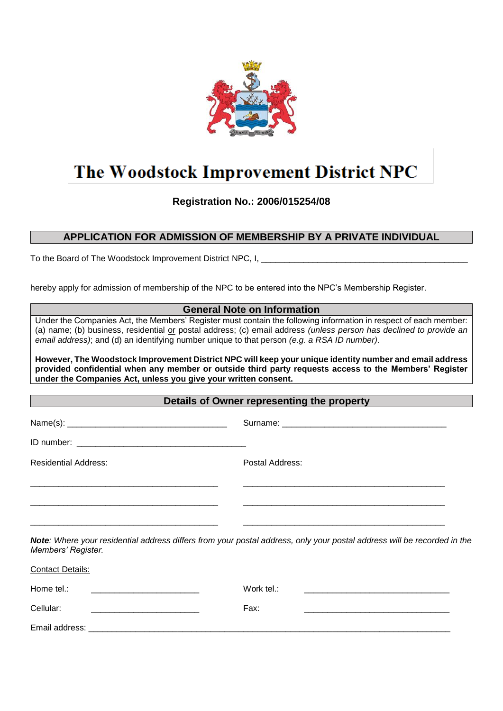

# The Woodstock Improvement District NPC

**Registration No.: 2006/015254/08**

## **APPLICATION FOR ADMISSION OF MEMBERSHIP BY A PRIVATE INDIVIDUAL**

To the Board of The Woodstock Improvement District NPC, I, \_\_\_\_\_\_\_\_\_\_\_\_\_\_\_\_\_\_\_\_\_

hereby apply for admission of membership of the NPC to be entered into the NPC's Membership Register.

|                                                                | <b>General Note on Information</b>                                                                                                                                                                                                                                                                                                    |
|----------------------------------------------------------------|---------------------------------------------------------------------------------------------------------------------------------------------------------------------------------------------------------------------------------------------------------------------------------------------------------------------------------------|
|                                                                | Under the Companies Act, the Members' Register must contain the following information in respect of each member:<br>(a) name; (b) business, residential or postal address; (c) email address (unless person has declined to provide an<br>email address); and (d) an identifying number unique to that person (e.g. a RSA ID number). |
| under the Companies Act, unless you give your written consent. | However, The Woodstock Improvement District NPC will keep your unique identity number and email address<br>provided confidential when any member or outside third party requests access to the Members' Register                                                                                                                      |
|                                                                | Details of Owner representing the property                                                                                                                                                                                                                                                                                            |
|                                                                |                                                                                                                                                                                                                                                                                                                                       |
|                                                                |                                                                                                                                                                                                                                                                                                                                       |
| <b>Residential Address:</b>                                    | Postal Address:                                                                                                                                                                                                                                                                                                                       |
|                                                                |                                                                                                                                                                                                                                                                                                                                       |
| Members' Register.                                             | Note: Where your residential address differs from your postal address, only your postal address will be recorded in the                                                                                                                                                                                                               |
| <b>Contact Details:</b>                                        |                                                                                                                                                                                                                                                                                                                                       |
| Home tel.:                                                     | Work tel.:                                                                                                                                                                                                                                                                                                                            |
| Cellular:                                                      | Fax:                                                                                                                                                                                                                                                                                                                                  |
| Email address:                                                 |                                                                                                                                                                                                                                                                                                                                       |